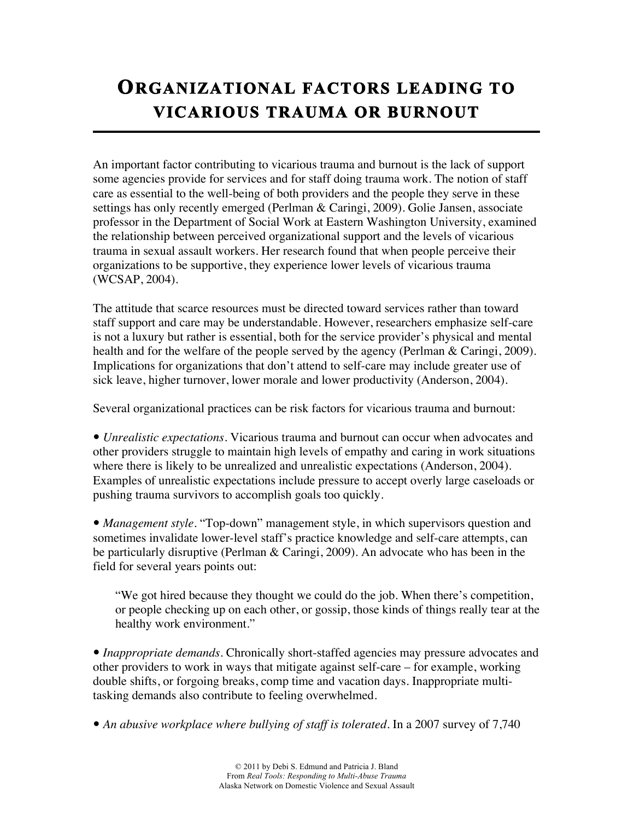## **ORGANIZATIONAL FACTORS LEADING TO VICARIOUS TRAUMA OR BURNOUT**

An important factor contributing to vicarious trauma and burnout is the lack of support some agencies provide for services and for staff doing trauma work. The notion of staff care as essential to the well-being of both providers and the people they serve in these settings has only recently emerged (Perlman & Caringi, 2009). Golie Jansen, associate professor in the Department of Social Work at Eastern Washington University, examined the relationship between perceived organizational support and the levels of vicarious trauma in sexual assault workers. Her research found that when people perceive their organizations to be supportive, they experience lower levels of vicarious trauma (WCSAP, 2004).

The attitude that scarce resources must be directed toward services rather than toward staff support and care may be understandable. However, researchers emphasize self-care is not a luxury but rather is essential, both for the service provider's physical and mental health and for the welfare of the people served by the agency (Perlman & Caringi, 2009). Implications for organizations that don't attend to self-care may include greater use of sick leave, higher turnover, lower morale and lower productivity (Anderson, 2004).

Several organizational practices can be risk factors for vicarious trauma and burnout:

 *Unrealistic expectations.* Vicarious trauma and burnout can occur when advocates and other providers struggle to maintain high levels of empathy and caring in work situations where there is likely to be unrealized and unrealistic expectations (Anderson, 2004). Examples of unrealistic expectations include pressure to accept overly large caseloads or pushing trauma survivors to accomplish goals too quickly.

 *Management style.* "Top-down" management style, in which supervisors question and sometimes invalidate lower-level staff's practice knowledge and self-care attempts, can be particularly disruptive (Perlman & Caringi, 2009). An advocate who has been in the field for several years points out:

"We got hired because they thought we could do the job. When there's competition, or people checking up on each other, or gossip, those kinds of things really tear at the healthy work environment."

 *Inappropriate demands.* Chronically short-staffed agencies may pressure advocates and other providers to work in ways that mitigate against self-care – for example, working double shifts, or forgoing breaks, comp time and vacation days. Inappropriate multitasking demands also contribute to feeling overwhelmed.

• An abusive workplace where bullying of staff is tolerated. In a 2007 survey of 7,740